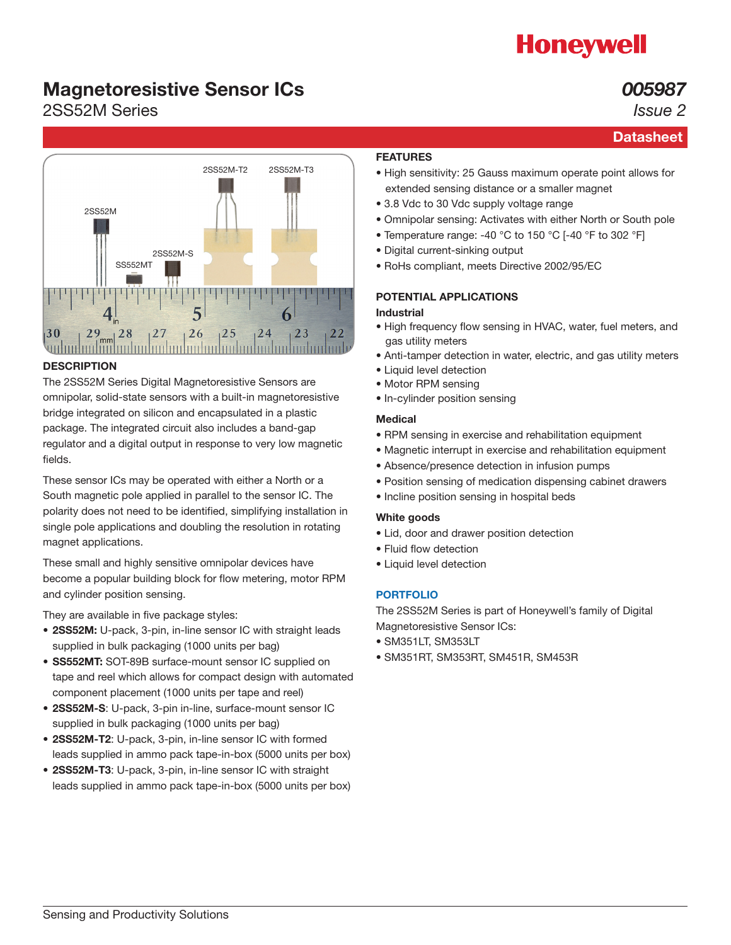# **Honeywell**

**Datasheet** 

*005987 Issue 2*

### Magnetoresistive Sensor ICs

### 2SS52M Series



#### **DESCRIPTION**

The 2SS52M Series Digital Magnetoresistive Sensors are omnipolar, solid-state sensors with a built-in magnetoresistive bridge integrated on silicon and encapsulated in a plastic package. The integrated circuit also includes a band-gap regulator and a digital output in response to very low magnetic fields.

These sensor ICs may be operated with either a North or a South magnetic pole applied in parallel to the sensor IC. The polarity does not need to be identified, simplifying installation in single pole applications and doubling the resolution in rotating magnet applications.

These small and highly sensitive omnipolar devices have become a popular building block for flow metering, motor RPM and cylinder position sensing.

They are available in five package styles:

- 2SS52M: U-pack, 3-pin, in-line sensor IC with straight leads supplied in bulk packaging (1000 units per bag)
- SS552MT: SOT-89B surface-mount sensor IC supplied on tape and reel which allows for compact design with automated component placement (1000 units per tape and reel)
- 2SS52M-S: U-pack, 3-pin in-line, surface-mount sensor IC supplied in bulk packaging (1000 units per bag)
- 2SS52M-T2: U-pack, 3-pin, in-line sensor IC with formed leads supplied in ammo pack tape-in-box (5000 units per box)
- 2SS52M-T3: U-pack, 3-pin, in-line sensor IC with straight leads supplied in ammo pack tape-in-box (5000 units per box)

### FEATURES

- High sensitivity: 25 Gauss maximum operate point allows for extended sensing distance or a smaller magnet
- 3.8 Vdc to 30 Vdc supply voltage range
- Omnipolar sensing: Activates with either North or South pole
- Temperature range: -40 °C to 150 °C [-40 °F to 302 °F]
- Digital current-sinking output
- RoHs compliant, meets Directive 2002/95/EC

### POTENTIAL APPLICATIONS

### Industrial

- High frequency flow sensing in HVAC, water, fuel meters, and gas utility meters
- Anti-tamper detection in water, electric, and gas utility meters
- Liquid level detection
- Motor RPM sensing
- In-cylinder position sensing

### Medical

- RPM sensing in exercise and rehabilitation equipment
- Magnetic interrupt in exercise and rehabilitation equipment
- Absence/presence detection in infusion pumps
- Position sensing of medication dispensing cabinet drawers
- Incline position sensing in hospital beds

#### White goods

- Lid, door and drawer position detection
- Fluid flow detection
- Liquid level detection

### [PORTFOLIO](http://sensing.honeywell.com/products/magnetic-position-sensors?Ne=2308&N=3094)

The 2SS52M Series is part of Honeywell's family of Digital Magnetoresistive Sensor ICs:

- SM351LT, SM353LT
- SM351RT, SM353RT, SM451R, SM453R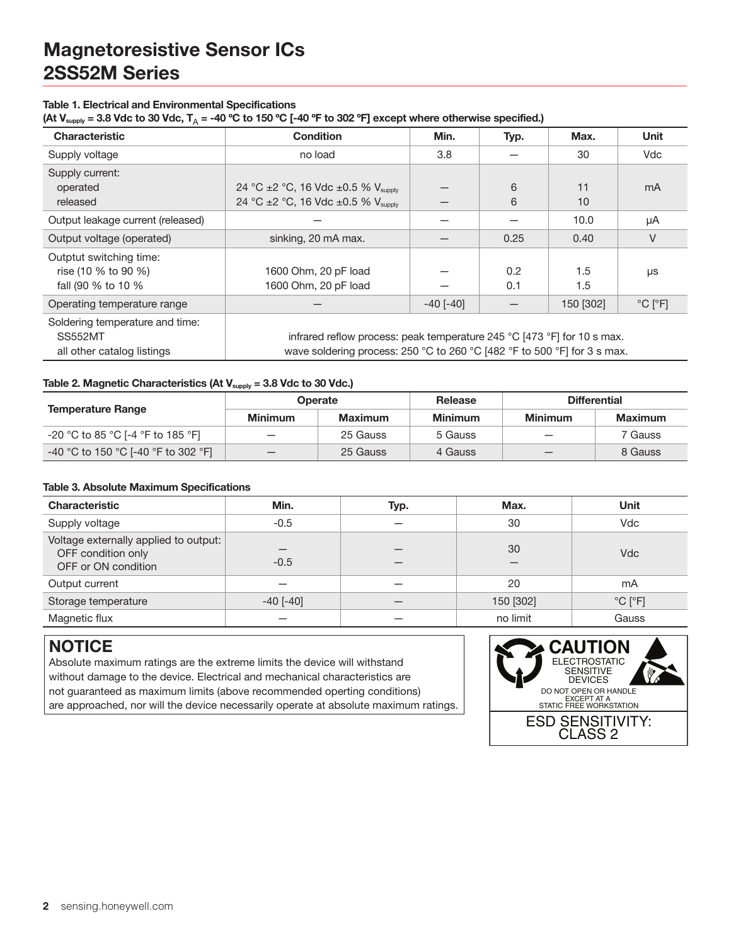#### Table 1. Electrical and Environmental Specifications

(At V<sub>supply</sub> = 3.8 Vdc to 30 Vdc, T<sub>A</sub> = -40 °C to 150 °C [-40 °F to 302 °F] except where otherwise specified.)

| $\overline{M}$                                                                  |                                                                                                                                                     |                 |            |            |                             |
|---------------------------------------------------------------------------------|-----------------------------------------------------------------------------------------------------------------------------------------------------|-----------------|------------|------------|-----------------------------|
| <b>Characteristic</b>                                                           | <b>Condition</b>                                                                                                                                    | Min.            | Typ.       | Max.       | Unit                        |
| Supply voltage                                                                  | no load                                                                                                                                             | 3.8             |            | 30         | Vdc                         |
| Supply current:<br>operated<br>released                                         | 24 °C ±2 °C, 16 Vdc ±0.5 % V <sub>supply</sub><br>24 °C ±2 °C, 16 Vdc ±0.5 % Vsupply                                                                |                 | 6<br>6     | 11<br>10   | mA                          |
| Output leakage current (released)                                               |                                                                                                                                                     |                 |            | 10.0       | μA                          |
| Output voltage (operated)                                                       | sinking, 20 mA max.                                                                                                                                 |                 | 0.25       | 0.40       | V                           |
| Outptut switching time:<br>rise (10 % to 90 %)<br>fall (90 % to 10 %            | 1600 Ohm, 20 pF load<br>1600 Ohm, 20 pF load                                                                                                        |                 | 0.2<br>0.1 | 1.5<br>1.5 | μs                          |
| Operating temperature range                                                     |                                                                                                                                                     | $-40$ [ $-40$ ] |            | 150 [302]  | $^{\circ}$ C $[^{\circ}$ F] |
| Soldering temperature and time:<br><b>SS552MT</b><br>all other catalog listings | infrared reflow process: peak temperature 245 °C [473 °F] for 10 s max.<br>wave soldering process: 250 °C to 260 °C [482 °F to 500 °F] for 3 s max. |                 |            |            |                             |

#### Table 2. Magnetic Characteristics (At  $V_{\text{supply}} = 3.8$  Vdc to 30 Vdc.)

|                                     | <b>Operate</b>            |          | <b>Release</b> | <b>Differential</b> |         |
|-------------------------------------|---------------------------|----------|----------------|---------------------|---------|
| <b>Temperature Range</b>            | <b>Minimum</b><br>Maximum |          | <b>Minimum</b> | <b>Minimum</b>      | Maximum |
| -20 °C to 85 °C [-4 °F to 185 °F]   | $\overline{\phantom{0}}$  | 25 Gauss | 5 Gauss        |                     | 7 Gauss |
| -40 °C to 150 °C [-40 °F to 302 °F] |                           | 25 Gauss | 4 Gauss        |                     | 8 Gauss |

#### Table 3. Absolute Maximum Specifications

| <b>Characteristic</b>                                                              | Min.            | Typ. | Max.      | Unit                        |
|------------------------------------------------------------------------------------|-----------------|------|-----------|-----------------------------|
| Supply voltage                                                                     | $-0.5$          |      | 30        | Vdc                         |
| Voltage externally applied to output:<br>OFF condition only<br>OFF or ON condition | $-0.5$          |      | 30        | <b>Vdc</b>                  |
| Output current                                                                     |                 |      | 20        | mA                          |
| Storage temperature                                                                | $-40$ [ $-40$ ] |      | 150 [302] | $^{\circ}$ C $[^{\circ}$ F] |
| Magnetic flux                                                                      |                 |      | no limit  | Gauss                       |

### **NOTICE**

Absolute maximum ratings are the extreme limits the device will withstand without damage to the device. Electrical and mechanical characteristics are not guaranteed as maximum limits (above recommended operting conditions) are approached, nor will the device necessarily operate at absolute maximum ratings.

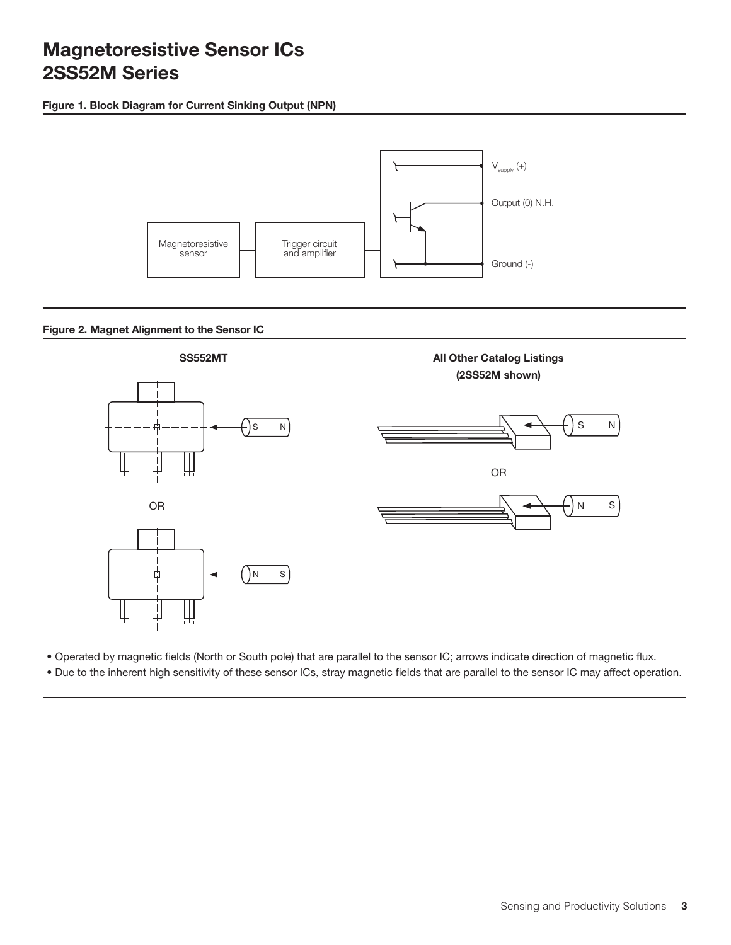### Figure 1. Block Diagram for Current Sinking Output (NPN)



#### Figure 2. Magnet Alignment to the Sensor IC



• Operated by magnetic fields (North or South pole) that are parallel to the sensor IC; arrows indicate direction of magnetic flux.

• Due to the inherent high sensitivity of these sensor ICs, stray magnetic fields that are parallel to the sensor IC may affect operation.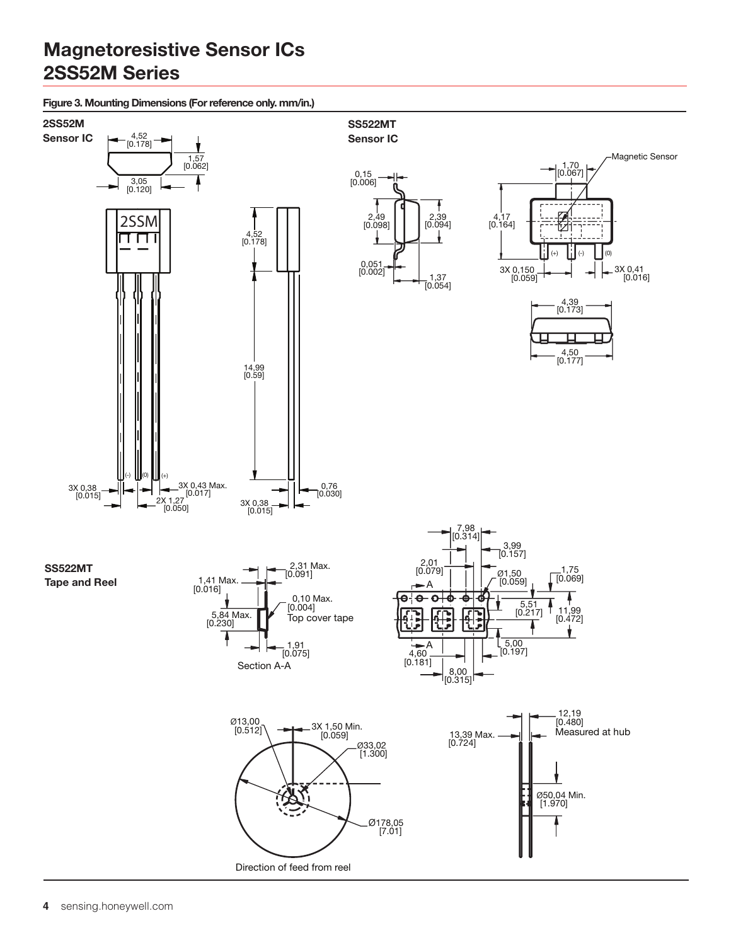Figure 3. Mounting Dimensions (For reference only. mm/in.)

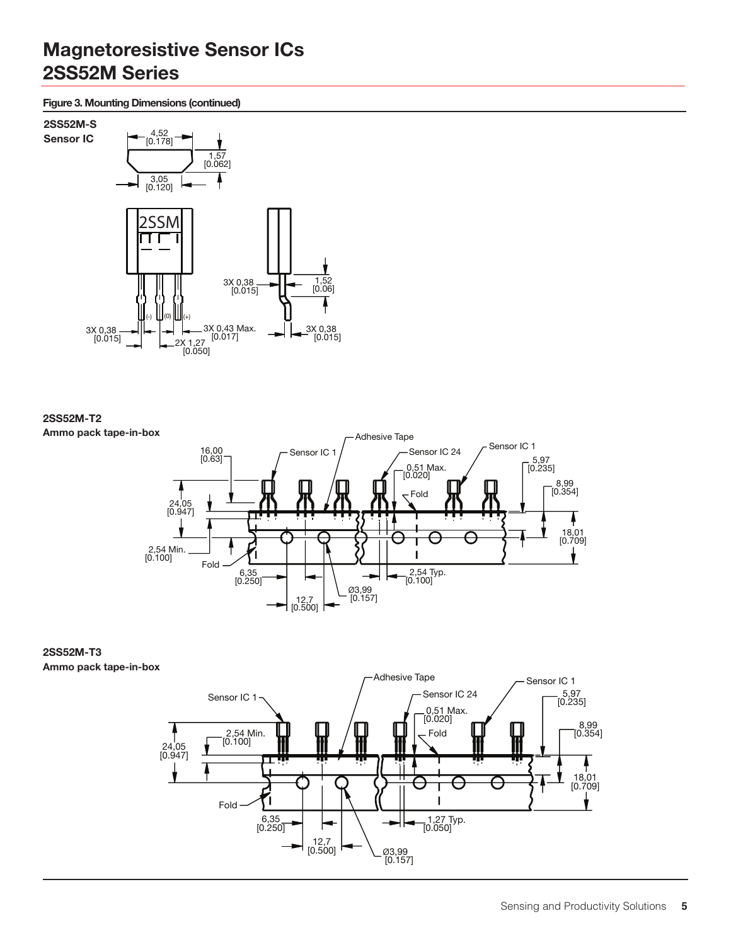Figure 3. Mounting Dimensions (continued)



2SS52M-T2 Ammo pack tape-in-box



2SS52M-T3 Ammo pack tape-in-box

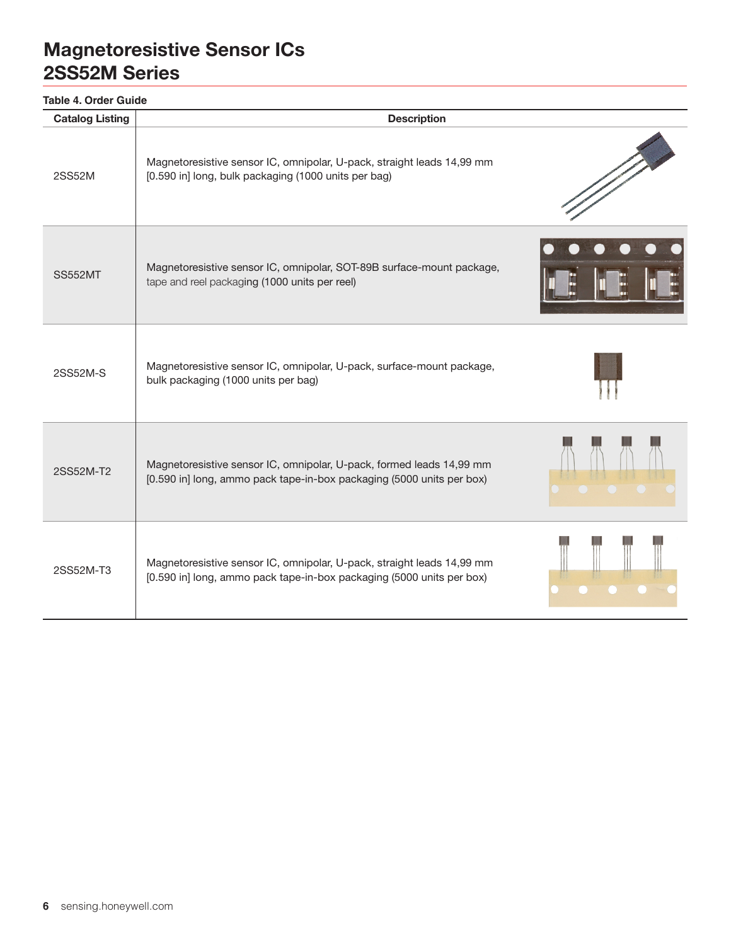### **Table 4. Order Guide**

| <b>Catalog Listing</b> | <b>Description</b>                                                                                                                              |  |
|------------------------|-------------------------------------------------------------------------------------------------------------------------------------------------|--|
| 2SS52M                 | Magnetoresistive sensor IC, omnipolar, U-pack, straight leads 14,99 mm<br>[0.590 in] long, bulk packaging (1000 units per bag)                  |  |
| <b>SS552MT</b>         | Magnetoresistive sensor IC, omnipolar, SOT-89B surface-mount package,<br>tape and reel packaging (1000 units per reel)                          |  |
| 2SS52M-S               | Magnetoresistive sensor IC, omnipolar, U-pack, surface-mount package,<br>bulk packaging (1000 units per bag)                                    |  |
| 2SS52M-T2              | Magnetoresistive sensor IC, omnipolar, U-pack, formed leads 14,99 mm<br>[0.590 in] long, ammo pack tape-in-box packaging (5000 units per box)   |  |
| 2SS52M-T3              | Magnetoresistive sensor IC, omnipolar, U-pack, straight leads 14,99 mm<br>[0.590 in] long, ammo pack tape-in-box packaging (5000 units per box) |  |